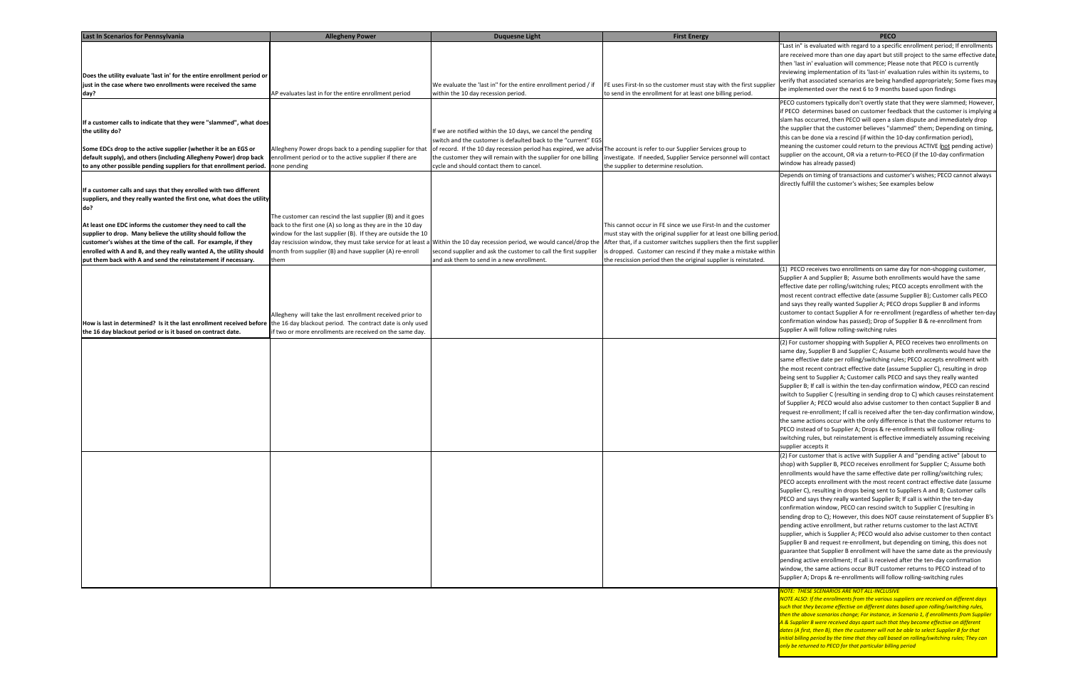"Last in" is evaluated with regard to <sup>a</sup> specific enrollment period; If enrollments are received more than one day apart but still project to the same effective date, then 'last in' evaluation will commence; Please note that PECO is currently reviewing implementation of its 'last‐in' evaluation rules within its systems, to verify that associated scenarios are being handled appropriately; Some fixes may be implemented over the next 6 to 9 months based upon findings

| <b>Last In Scenarios for Pennsylvania</b>                                                                                                                                                                                                                                                                                              | <b>Allegheny Power</b>                                                                                                                                                                                                                                         | <b>Duquesne Light</b>                                                                                                                                                        | <b>First Energy</b>                                                                                                                                                                                                                                                                                                                                  | <b>PECO</b>                                                                                                                                                                                                                                                                                                                                                                                                                                                                                                                                                                                                                                                                                                           |
|----------------------------------------------------------------------------------------------------------------------------------------------------------------------------------------------------------------------------------------------------------------------------------------------------------------------------------------|----------------------------------------------------------------------------------------------------------------------------------------------------------------------------------------------------------------------------------------------------------------|------------------------------------------------------------------------------------------------------------------------------------------------------------------------------|------------------------------------------------------------------------------------------------------------------------------------------------------------------------------------------------------------------------------------------------------------------------------------------------------------------------------------------------------|-----------------------------------------------------------------------------------------------------------------------------------------------------------------------------------------------------------------------------------------------------------------------------------------------------------------------------------------------------------------------------------------------------------------------------------------------------------------------------------------------------------------------------------------------------------------------------------------------------------------------------------------------------------------------------------------------------------------------|
|                                                                                                                                                                                                                                                                                                                                        |                                                                                                                                                                                                                                                                |                                                                                                                                                                              |                                                                                                                                                                                                                                                                                                                                                      | "Last in" is evaluated with regard to a speci<br>are received more than one day apart but s<br>then 'last in' evaluation will commence; Ple                                                                                                                                                                                                                                                                                                                                                                                                                                                                                                                                                                           |
| Does the utility evaluate 'last in' for the entire enrollment period or<br>just in the case where two enrollments were received the same                                                                                                                                                                                               |                                                                                                                                                                                                                                                                | We evaluate the 'last in" for the entire enrollment period / if                                                                                                              | FE uses First-In so the customer must stay with the first supplier                                                                                                                                                                                                                                                                                   | reviewing implementation of its 'last-in' eva<br>verify that associated scenarios are being h                                                                                                                                                                                                                                                                                                                                                                                                                                                                                                                                                                                                                         |
| day?                                                                                                                                                                                                                                                                                                                                   | AP evaluates last in for the entire enrollment period                                                                                                                                                                                                          | within the 10 day recession period.                                                                                                                                          | to send in the enrollment for at least one billing period.                                                                                                                                                                                                                                                                                           | be implemented over the next 6 to 9 mont                                                                                                                                                                                                                                                                                                                                                                                                                                                                                                                                                                                                                                                                              |
| If a customer calls to indicate that they were "slammed", what does<br>the utility do?                                                                                                                                                                                                                                                 |                                                                                                                                                                                                                                                                | If we are notified within the 10 days, we cancel the pending<br>switch and the customer is defaulted back to the "current" EGS                                               |                                                                                                                                                                                                                                                                                                                                                      | PECO customers typically don't overtly stat<br>if PECO determines based on customer fee<br>slam has occurred, then PECO will open a s<br>the supplier that the customer believes "sla<br>this can be done via a rescind (if within the                                                                                                                                                                                                                                                                                                                                                                                                                                                                                |
| Some EDCs drop to the active supplier (whether it be an EGS or                                                                                                                                                                                                                                                                         | Allegheny Power drops back to a pending supplier for that                                                                                                                                                                                                      | of record. If the 10 day recession period has expired, we advise The account is refer to our Supplier Services group to                                                      |                                                                                                                                                                                                                                                                                                                                                      | meaning the customer could return to the                                                                                                                                                                                                                                                                                                                                                                                                                                                                                                                                                                                                                                                                              |
| default supply), and others (including Allegheny Power) drop back<br>to any other possible pending suppliers for that enrollment period.                                                                                                                                                                                               | enrollment period or to the active supplier if there are<br>none pending                                                                                                                                                                                       | the customer they will remain with the supplier for one billing<br>cycle and should contact them to cancel.                                                                  | investigate. If needed, Supplier Service personnel will contact<br>the supplier to determine resolution.                                                                                                                                                                                                                                             | supplier on the account, OR via a return-to<br>window has already passed)                                                                                                                                                                                                                                                                                                                                                                                                                                                                                                                                                                                                                                             |
|                                                                                                                                                                                                                                                                                                                                        |                                                                                                                                                                                                                                                                |                                                                                                                                                                              |                                                                                                                                                                                                                                                                                                                                                      | Depends on timing of transactions and cust                                                                                                                                                                                                                                                                                                                                                                                                                                                                                                                                                                                                                                                                            |
| If a customer calls and says that they enrolled with two different<br>suppliers, and they really wanted the first one, what does the utility<br>do?                                                                                                                                                                                    | The customer can rescind the last supplier (B) and it goes                                                                                                                                                                                                     |                                                                                                                                                                              |                                                                                                                                                                                                                                                                                                                                                      | directly fulfill the customer's wishes; See ex                                                                                                                                                                                                                                                                                                                                                                                                                                                                                                                                                                                                                                                                        |
| At least one EDC informs the customer they need to call the<br>supplier to drop. Many believe the utility should follow the<br>customer's wishes at the time of the call. For example, if they<br>enrolled with A and B, and they really wanted A, the utility should<br>put them back with A and send the reinstatement if necessary. | back to the first one (A) so long as they are in the 10 day<br>window for the last supplier (B). If they are outside the 10<br>day rescission window, they must take service for at least a<br>month from supplier (B) and have supplier (A) re-enroll<br>them | Within the 10 day recession period, we would cancel/drop the<br>second supplier and ask the customer to call the first supplier<br>and ask them to send in a new enrollment. | This cannot occur in FE since we use First-In and the customer<br>must stay with the original supplier for at least one billing period.<br>After that, if a customer switches suppliers then the first supplier<br>is dropped. Customer can rescind if they make a mistake within<br>the rescission period then the original supplier is reinstated. |                                                                                                                                                                                                                                                                                                                                                                                                                                                                                                                                                                                                                                                                                                                       |
| How is last in determined? Is it the last enrollment received before the 16 day blackout period. The contract date is only used<br>the 16 day blackout period or is it based on contract date.                                                                                                                                         | Allegheny will take the last enrollment received prior to<br>if two or more enrollments are received on the same day.                                                                                                                                          |                                                                                                                                                                              |                                                                                                                                                                                                                                                                                                                                                      | (1) PECO receives two enrollments on sam<br>Supplier A and Supplier B; Assume both en<br>effective date per rolling/switching rules; P<br>most recent contract effective date (assum<br>and says they really wanted Supplier A; PEO<br>customer to contact Supplier A for re-enrol<br>confirmation window has passed); Drop of<br>Supplier A will follow rolling-switching rule:                                                                                                                                                                                                                                                                                                                                      |
|                                                                                                                                                                                                                                                                                                                                        |                                                                                                                                                                                                                                                                |                                                                                                                                                                              |                                                                                                                                                                                                                                                                                                                                                      | (2) For customer shopping with Supplier A,<br>same day, Supplier B and Supplier C; Assum<br>same effective date per rolling/switching ru<br>the most recent contract effective date (as:<br>being sent to Supplier A; Customer calls PE<br>Supplier B; If call is within the ten-day confi<br>switch to Supplier C (resulting in sending dr<br>of Supplier A; PECO would also advise custo<br>request re-enrollment; If call is received aft<br>the same actions occur with the only differ<br>PECO instead of to Supplier A; Drops & re-<br>switching rules, but reinstatement is effect<br>supplier accepts it                                                                                                      |
|                                                                                                                                                                                                                                                                                                                                        |                                                                                                                                                                                                                                                                |                                                                                                                                                                              |                                                                                                                                                                                                                                                                                                                                                      | (2) For customer that is active with Supplie<br>shop) with Supplier B, PECO receives enroll<br>enrollments would have the same effective<br>PECO accepts enrollment with the most red<br>Supplier C), resulting in drops being sent to<br>PECO and says they really wanted Supplier<br>confirmation window, PECO can rescind sw<br>sending drop to C); However, this does NO<br>pending active enrollment, but rather retur<br>supplier, which is Supplier A; PECO would a<br>Supplier B and request re-enrollment, but o<br>guarantee that Supplier B enrollment will h<br>pending active enrollment; If call is receive<br>window, the same actions occur BUT custo<br>Supplier A; Drops & re-enrollments will foll |

PECO customers typically don't overtly state that they were slammed; However, if PECO determines based on customer feedback that the customer is implying <sup>a</sup> slam has occurred, then PECO will open <sup>a</sup> slam dispute and immediately drop the supplier that the customer believes "slammed" them; Depending on timing, this can be done via <sup>a</sup> rescind (if within the 10‐day confirmation period), meaning the customer could return to the previous ACTIVE (not pending active) supplier on the account, OR via a return-to-PECO (if the 10-day confirmation window has already passed)

Depends on timing of transactions and customer's wishes; PECO cannot always directly fulfill the customer's wishes; See examples below

(1) PECO receives two enrollments on same day for non‐shopping customer, Supplier A and Supplier B; Assume both enrollments would have the same effective date per rolling/switching rules; PECO accepts enrollment with the most recent contract effective date (assume Supplier B); Customer calls PECO and says they really wanted Supplier A; PECO drops Supplier B and informs customer to contact Supplier A for re‐enrollment (regardless of whether ten‐day confirmation window has passed); Drop of Supplier B & re‐enrollment from Supplier A will follow rolling‐switching rules

(2) For customer shopping with Supplier A, PECO receives two enrollments on same day, Supplier B and Supplier C; Assume both enrollments would have the same effective date per rolling/switching rules; PECO accepts enrollment with the most recent contract effective date (assume Supplier C), resulting in drop being sent to Supplier A; Customer calls PECO and says they really wanted Supplier B; If call is within the ten‐day confirmation window, PECO can rescind switch to Supplier C (resulting in sending drop to C) which causes reinstatement of Supplier A; PECO would also advise customer to then contact Supplier B and request re-enrollment; If call is received after the ten-day confirmation window, the same actions occur with the only difference is that the customer returns to PECO instead of to Supplier A; Drops & re‐enrollments will follow rolling‐ switching rules, but reinstatement is effective immediately assuming receiving supplier accepts it

(2) For customer that is active with Supplier A and "pending active" (about to shop) with Supplier B, PECO receives enrollment for Supplier C; Assume both enrollments would have the same effective date per rolling/switching rules; PECO accepts enrollment with the most recent contract effective date (assume Supplier C), resulting in drops being sent to Suppliers A and B; Customer calls PECO and says they really wanted Supplier B; If call is within the ten‐day confirmation window, PECO can rescind switch to Supplier C (resulting in sending drop to C); However, this does NOT cause reinstatement of Supplier B's pending active enrollment, but rather returns customer to the last ACTIVE supplier, which is Supplier A; PECO would also advise customer to then contact Supplier B and request re-enrollment, but depending on timing, this does not guarantee that Supplier B enrollment will have the same date as the previously pending active enrollment; If call is received after the ten-day confirmation window, the same actions occur BUT customer returns to PECO instead of to Supplier A; Drops & re‐enrollments will follow rolling‐switching rules

## *NOTE: THESE SCENARIOS ARE NOT ALL‐INCLUSIVE*

*NOTE ALSO: If the enrollments from the various suppliers are received on different days such that they become effective on different dates based upon rolling/switching rules, then the above scenarios change; For instance, in Scenario 1, if enrollments from Supplier A & Supplier B were received days apart such that they become effective on different dates (A first, then B), then the customer will not be able to select Supplier B for that initial billing period by the time that they call based on rolling/switching rules; They can only be returned to PECO for that particular billing period*